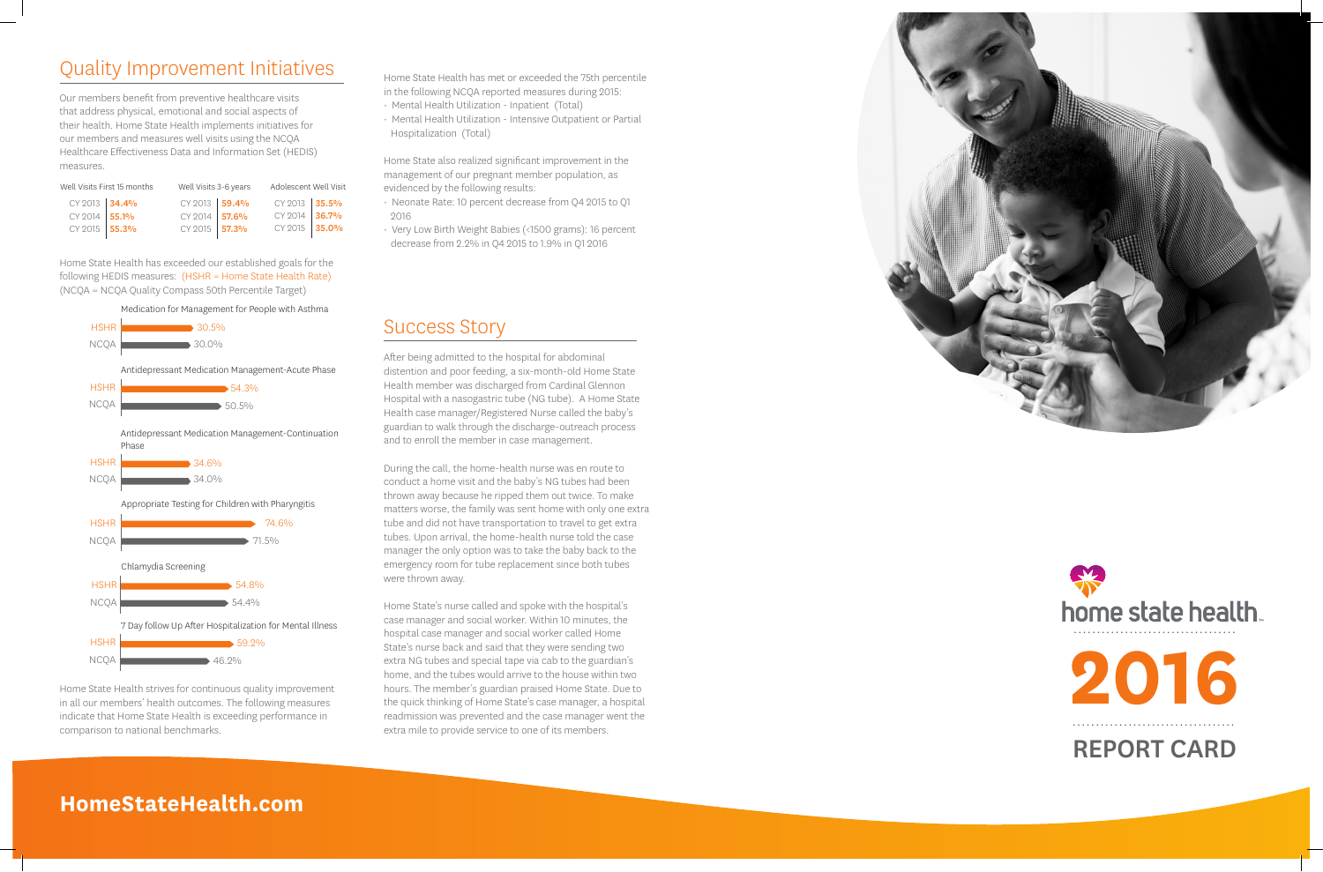## Quality Improvement Initiatives

Our members benefit from preventive healthcare visits that address physical, emotional and social aspects of their health. Home State Health implements initiatives for our members and measures well visits using the NCQA Healthcare Effectiveness Data and Information Set (HEDIS) measures.

> Medication for Management for People with Asthma 7 Day follow Up After Hospitalization for Mental Illness HSHR NCOA<sup>1</sup> 30.5% 30.0% **54.3%**  $50.5%$ Antidepressant Medication Management-Acute Phase Antidepressant Medication Management-Continuation Phase  $34.6\%$ 34.0% Appropriate Testing for Children with Pharyngitis 74.6%  $\rightarrow 71.5\%$ Chlamydia Screening 54.8%  $\rightarrow$  54.4% ■ 59.2%  $46.9\%$  HSHR NCQA **HSHR** NCQA **N**  HSHR NCQA **HSHF NCQA**  HSHR NCQA **N**

Home State Health has exceeded our established goals for the following HEDIS measures: (HSHR = Home State Health Rate) (NCQA = NCQA Quality Compass 50th Percentile Target)

- evidenced by the following results:<br>• Neonate Rate: 10 percent decrease from Q4 2015 to Q1 2016
- Very Low Birth Weight Babies (<1500 grams): 16 percent decrease from 2.2% in Q4 2015 to 1.9% in Q1 2016

Home State Health strives for continuous quality improvement in all our members' health outcomes. The following measures indicate that Home State Health is exceeding performance in comparison to national benchmarks.

Home State Health has met or exceeded the 75th percentile in the following NCQA reported measures during 2015:

- Mental Health Utilization Inpatient (Total)
- Mental Health Utilization Intensive Outpatient or Partial Hospitalization (Total)

Home State also realized significant improvement in the management of our pregnant member population, as

## Success Story

After being admitted to the hospital for abdominal distention and poor feeding, a six-month-old Home State Health member was discharged from Cardinal Glennon Hospital with a nasogastric tube (NG tube). A Home State Health case manager/Registered Nurse called the baby's guardian to walk through the discharge-outreach process and to enroll the member in case management.

During the call, the home-health nurse was en route to conduct a home visit and the baby's NG tubes had been thrown away because he ripped them out twice. To make matters worse, the family was sent home with only one extra tube and did not have transportation to travel to get extra tubes. Upon arrival, the home-health nurse told the case manager the only option was to take the baby back to the emergency room for tube replacement since both tubes were thrown away.

Home State's nurse called and spoke with the hospital's case manager and social worker. Within 10 minutes, the hospital case manager and social worker called Home State's nurse back and said that they were sending two extra NG tubes and special tape via cab to the guardian's home, and the tubes would arrive to the house within two hours. The member's guardian praised Home State. Due to the quick thinking of Home State's case manager, a hospital readmission was prevented and the case manager went the extra mile to provide service to one of its members.



**HomeStateHealth.com**



| Well Visits First 15 months |  | Well Visits 3-6 years |  | Adolescent Well Visit |  |
|-----------------------------|--|-----------------------|--|-----------------------|--|
| CY 2013 34.4%               |  | CY 2013 59.4%         |  | CY 2013 35.5%         |  |
| CY 2014 55.1%               |  | CY 2014 57.6%         |  | CY 2014 36.7%         |  |
| CY 2015 55.3%               |  | CY 2015 57.3%         |  | CY 2015 35.0%         |  |